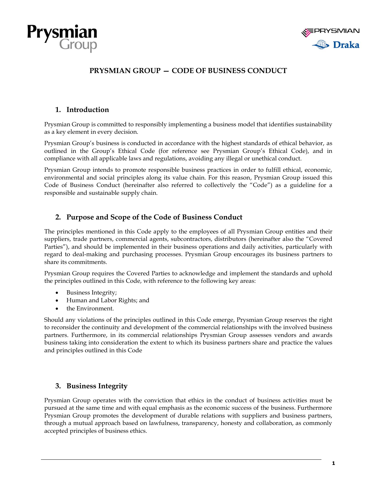



# **PRYSMIAN GROUP — CODE OF BUSINESS CONDUCT**

## **1. Introduction**

Prysmian Group is committed to responsibly implementing a business model that identifies sustainability as a key element in every decision.

Prysmian Group's business is conducted in accordance with the highest standards of ethical behavior, as outlined in the Group's Ethical Code (for reference see Prysmian Group's Ethical Code), and in compliance with all applicable laws and regulations, avoiding any illegal or unethical conduct.

Prysmian Group intends to promote responsible business practices in order to fulfill ethical, economic, environmental and social principles along its value chain. For this reason, Prysmian Group issued this Code of Business Conduct (hereinafter also referred to collectively the "Code") as a guideline for a responsible and sustainable supply chain.

## **2. Purpose and Scope of the Code of Business Conduct**

The principles mentioned in this Code apply to the employees of all Prysmian Group entities and their suppliers, trade partners, commercial agents, subcontractors, distributors (hereinafter also the "Covered Parties"), and should be implemented in their business operations and daily activities, particularly with regard to deal-making and purchasing processes. Prysmian Group encourages its business partners to share its commitments.

Prysmian Group requires the Covered Parties to acknowledge and implement the standards and uphold the principles outlined in this Code, with reference to the following key areas:

- Business Integrity;
- Human and Labor Rights; and
- the Environment.

Should any violations of the principles outlined in this Code emerge, Prysmian Group reserves the right to reconsider the continuity and development of the commercial relationships with the involved business partners. Furthermore, in its commercial relationships Prysmian Group assesses vendors and awards business taking into consideration the extent to which its business partners share and practice the values and principles outlined in this Code

## **3. Business Integrity**

Prysmian Group operates with the conviction that ethics in the conduct of business activities must be pursued at the same time and with equal emphasis as the economic success of the business. Furthermore Prysmian Group promotes the development of durable relations with suppliers and business partners, through a mutual approach based on lawfulness, transparency, honesty and collaboration, as commonly accepted principles of business ethics.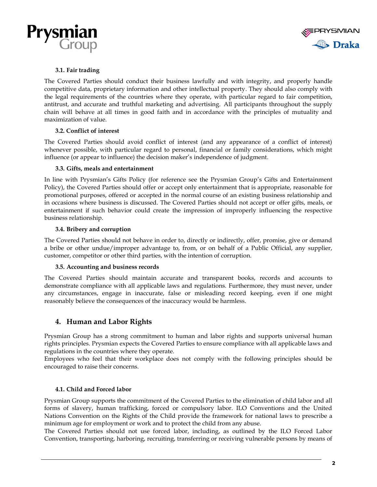



## **3.1. Fair trading**

The Covered Parties should conduct their business lawfully and with integrity, and properly handle competitive data, proprietary information and other intellectual property. They should also comply with the legal requirements of the countries where they operate, with particular regard to fair competition, antitrust, and accurate and truthful marketing and advertising. All participants throughout the supply chain will behave at all times in good faith and in accordance with the principles of mutuality and maximization of value.

### **3.2. Conflict of interest**

The Covered Parties should avoid conflict of interest (and any appearance of a conflict of interest) whenever possible, with particular regard to personal, financial or family considerations, which might influence (or appear to influence) the decision maker's independence of judgment.

### **3.3. Gifts, meals and entertainment**

In line with Prysmian's Gifts Policy (for reference see the Prysmian Group's Gifts and Entertainment Policy), the Covered Parties should offer or accept only entertainment that is appropriate, reasonable for promotional purposes, offered or accepted in the normal course of an existing business relationship and in occasions where business is discussed. The Covered Parties should not accept or offer gifts, meals, or entertainment if such behavior could create the impression of improperly influencing the respective business relationship.

### **3.4. Bribery and corruption**

The Covered Parties should not behave in order to, directly or indirectly, offer, promise, give or demand a bribe or other undue/improper advantage to, from, or on behalf of a Public Official, any supplier, customer, competitor or other third parties, with the intention of corruption.

#### **3.5. Accounting and business records**

The Covered Parties should maintain accurate and transparent books, records and accounts to demonstrate compliance with all applicable laws and regulations. Furthermore, they must never, under any circumstances, engage in inaccurate, false or misleading record keeping, even if one might reasonably believe the consequences of the inaccuracy would be harmless.

## **4. Human and Labor Rights**

Prysmian Group has a strong commitment to human and labor rights and supports universal human rights principles. Prysmian expects the Covered Parties to ensure compliance with all applicable laws and regulations in the countries where they operate.

Employees who feel that their workplace does not comply with the following principles should be encouraged to raise their concerns.

## **4.1. Child and Forced labor**

Prysmian Group supports the commitment of the Covered Parties to the elimination of child labor and all forms of slavery, human trafficking, forced or compulsory labor. ILO Conventions and the United Nations Convention on the Rights of the Child provide the framework for national laws to prescribe a minimum age for employment or work and to protect the child from any abuse.

The Covered Parties should not use forced labor, including, as outlined by the ILO Forced Labor Convention, transporting, harboring, recruiting, transferring or receiving vulnerable persons by means of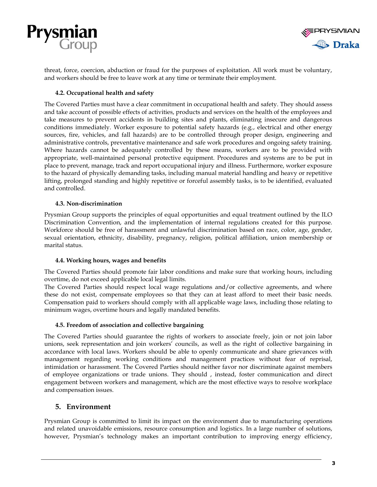



threat, force, coercion, abduction or fraud for the purposes of exploitation. All work must be voluntary, and workers should be free to leave work at any time or terminate their employment.

### **4.2. Occupational health and safety**

The Covered Parties must have a clear commitment in occupational health and safety. They should assess and take account of possible effects of activities, products and services on the health of the employees and take measures to prevent accidents in building sites and plants, eliminating insecure and dangerous conditions immediately. Worker exposure to potential safety hazards (e.g., electrical and other energy sources, fire, vehicles, and fall hazards) are to be controlled through proper design, engineering and administrative controls, preventative maintenance and safe work procedures and ongoing safety training. Where hazards cannot be adequately controlled by these means, workers are to be provided with appropriate, well-maintained personal protective equipment. Procedures and systems are to be put in place to prevent, manage, track and report occupational injury and illness. Furthermore, worker exposure to the hazard of physically demanding tasks, including manual material handling and heavy or repetitive lifting, prolonged standing and highly repetitive or forceful assembly tasks, is to be identified, evaluated and controlled.

### **4.3. Non-discrimination**

Prysmian Group supports the principles of equal opportunities and equal treatment outlined by the ILO Discrimination Convention, and the implementation of internal regulations created for this purpose. Workforce should be free of harassment and unlawful discrimination based on race, color, age, gender, sexual orientation, ethnicity, disability, pregnancy, religion, political affiliation, union membership or marital status.

#### **4.4. Working hours, wages and benefits**

The Covered Parties should promote fair labor conditions and make sure that working hours, including overtime, do not exceed applicable local legal limits.

The Covered Parties should respect local wage regulations and/or collective agreements, and where these do not exist, compensate employees so that they can at least afford to meet their basic needs. Compensation paid to workers should comply with all applicable wage laws, including those relating to minimum wages, overtime hours and legally mandated benefits.

## **4.5. Freedom of association and collective bargaining**

The Covered Parties should guarantee the rights of workers to associate freely, join or not join labor unions, seek representation and join workers' councils, as well as the right of collective bargaining in accordance with local laws. Workers should be able to openly communicate and share grievances with management regarding working conditions and management practices without fear of reprisal, intimidation or harassment. The Covered Parties should neither favor nor discriminate against members of employee organizations or trade unions. They should , instead, foster communication and direct engagement between workers and management, which are the most effective ways to resolve workplace and compensation issues.

## **5. Environment**

Prysmian Group is committed to limit its impact on the environment due to manufacturing operations and related unavoidable emissions, resource consumption and logistics. In a large number of solutions, however, Prysmian's technology makes an important contribution to improving energy efficiency,